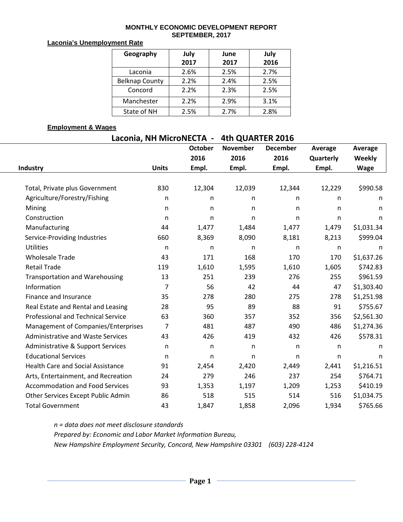#### **MONTHLY ECONOMIC DEVELOPMENT REPORT SEPTEMBER, 2017**

#### **Laconia's Unemployment Rate**

| Geography             | July<br>2017 | June<br>2017 | July<br>2016 |  |  |
|-----------------------|--------------|--------------|--------------|--|--|
|                       |              |              |              |  |  |
| Laconia               | 2.6%         | 2.5%         | 2.7%         |  |  |
| <b>Belknap County</b> | 2.2%         | 2.4%         | 2.5%         |  |  |
| Concord               | 2.2%         | 2.3%         | 2.5%         |  |  |
| Manchester            | 2.2%         | 2.9%         | 3.1%         |  |  |
| State of NH           | 2.5%         | 2.7%         | 2.8%         |  |  |

#### **Employment & Wages**

# **Laconia, NH MicroNECTA - 4th QUARTER 2016**

|                                           |              | <b>October</b> | <b>November</b> | <b>December</b> | Average      | Average      |
|-------------------------------------------|--------------|----------------|-----------------|-----------------|--------------|--------------|
|                                           |              | 2016           | 2016            | 2016            | Quarterly    | Weekly       |
| Industry                                  | <b>Units</b> | Empl.          | Empl.           | Empl.           | Empl.        | <b>Wage</b>  |
|                                           |              |                |                 |                 |              |              |
| Total, Private plus Government            | 830          | 12,304         | 12,039          | 12,344          | 12,229       | \$990.58     |
| Agriculture/Forestry/Fishing              | n            | n              | n               | n               | n            | n            |
| Mining                                    | n            | n              | $\mathsf{n}$    | n               | n            | n            |
| Construction                              | $\mathsf{n}$ | n              | $\mathsf{n}$    | n               | $\mathsf{n}$ | n            |
| Manufacturing                             | 44           | 1,477          | 1,484           | 1,477           | 1,479        | \$1,031.34   |
| Service-Providing Industries              | 660          | 8,369          | 8,090           | 8,181           | 8,213        | \$999.04     |
| <b>Utilities</b>                          | n            | n              | n               | n               | n            | n            |
| <b>Wholesale Trade</b>                    | 43           | 171            | 168             | 170             | 170          | \$1,637.26   |
| <b>Retail Trade</b>                       | 119          | 1,610          | 1,595           | 1,610           | 1,605        | \$742.83     |
| <b>Transportation and Warehousing</b>     | 13           | 251            | 239             | 276             | 255          | \$961.59     |
| Information                               | 7            | 56             | 42              | 44              | 47           | \$1,303.40   |
| Finance and Insurance                     | 35           | 278            | 280             | 275             | 278          | \$1,251.98   |
| Real Estate and Rental and Leasing        | 28           | 95             | 89              | 88              | 91           | \$755.67     |
| <b>Professional and Technical Service</b> | 63           | 360            | 357             | 352             | 356          | \$2,561.30   |
| Management of Companies/Enterprises       | 7            | 481            | 487             | 490             | 486          | \$1,274.36   |
| <b>Administrative and Waste Services</b>  | 43           | 426            | 419             | 432             | 426          | \$578.31     |
| Administrative & Support Services         | n            | n              | n               | n               | n            | n            |
| <b>Educational Services</b>               | n            | n              | n               | n               | n            | $\mathsf{n}$ |
| <b>Health Care and Social Assistance</b>  | 91           | 2,454          | 2,420           | 2,449           | 2,441        | \$1,216.51   |
| Arts, Entertainment, and Recreation       | 24           | 279            | 246             | 237             | 254          | \$764.71     |
| <b>Accommodation and Food Services</b>    | 93           | 1,353          | 1,197           | 1,209           | 1,253        | \$410.19     |
| Other Services Except Public Admin        | 86           | 518            | 515             | 514             | 516          | \$1,034.75   |
| <b>Total Government</b>                   | 43           | 1,847          | 1,858           | 2,096           | 1,934        | \$765.66     |

*n = data does not meet disclosure standards Prepared by: Economic and Labor Market Information Bureau, New Hampshire Employment Security, Concord, New Hampshire 03301 (603) 228-4124*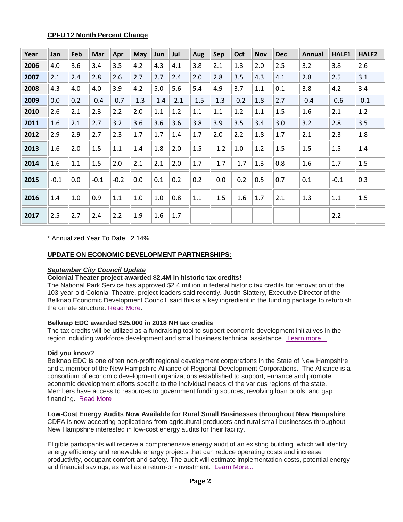### **CPI-U 12 Month Percent Change**

| Year | Jan    | Feb | <b>Mar</b> | Apr    | May    | Jun     | Jul    | Aug    | Sep    | Oct    | <b>Nov</b> | <b>Dec</b> | <b>Annual</b> | HALF1  | HALF <sub>2</sub> |
|------|--------|-----|------------|--------|--------|---------|--------|--------|--------|--------|------------|------------|---------------|--------|-------------------|
| 2006 | 4.0    | 3.6 | 3.4        | 3.5    | 4.2    | 4.3     | 4.1    | 3.8    | 2.1    | 1.3    | 2.0        | 2.5        | 3.2           | 3.8    | 2.6               |
| 2007 | 2.1    | 2.4 | 2.8        | 2.6    | 2.7    | 2.7     | 2.4    | 2.0    | 2.8    | 3.5    | 4.3        | 4.1        | 2.8           | 2.5    | 3.1               |
| 2008 | 4.3    | 4.0 | 4.0        | 3.9    | 4.2    | 5.0     | 5.6    | 5.4    | 4.9    | 3.7    | 1.1        | 0.1        | 3.8           | 4.2    | 3.4               |
| 2009 | 0.0    | 0.2 | $-0.4$     | $-0.7$ | $-1.3$ | $-1.4$  | $-2.1$ | $-1.5$ | $-1.3$ | $-0.2$ | 1.8        | 2.7        | $-0.4$        | $-0.6$ | $-0.1$            |
| 2010 | 2.6    | 2.1 | 2.3        | 2.2    | 2.0    | $1.1\,$ | 1.2    | 1.1    | 1.1    | 1.2    | 1.1        | 1.5        | 1.6           | 2.1    | 1.2               |
| 2011 | 1.6    | 2.1 | 2.7        | 3.2    | 3.6    | 3.6     | 3.6    | 3.8    | 3.9    | 3.5    | 3.4        | 3.0        | 3.2           | 2.8    | 3.5               |
| 2012 | 2.9    | 2.9 | 2.7        | 2.3    | 1.7    | $1.7\,$ | 1.4    | 1.7    | 2.0    | 2.2    | 1.8        | 1.7        | 2.1           | 2.3    | 1.8               |
| 2013 | 1.6    | 2.0 | 1.5        | 1.1    | 1.4    | 1.8     | 2.0    | 1.5    | 1.2    | 1.0    | 1.2        | 1.5        | 1.5           | 1.5    | 1.4               |
| 2014 | 1.6    | 1.1 | 1.5        | 2.0    | 2.1    | 2.1     | 2.0    | 1.7    | 1.7    | 1.7    | 1.3        | 0.8        | 1.6           | $1.7$  | 1.5               |
| 2015 | $-0.1$ | 0.0 | $-0.1$     | $-0.2$ | 0.0    | 0.1     | 0.2    | 0.2    | 0.0    | 0.2    | 0.5        | 0.7        | 0.1           | $-0.1$ | 0.3               |
| 2016 | 1.4    | 1.0 | 0.9        | 1.1    | 1.0    | 1.0     | 0.8    | 1.1    | 1.5    | 1.6    | 1.7        | 2.1        | 1.3           | 1.1    | 1.5               |
| 2017 | 2.5    | 2.7 | 2.4        | 2.2    | 1.9    | 1.6     | 1.7    |        |        |        |            |            |               | 2.2    |                   |

\* Annualized Year To Date: 2.14%

## **UPDATE ON ECONOMIC DEVELOPMENT PARTNERSHIPS:**

## *September City Council Update*

#### **Colonial Theater project awarded \$2.4M in historic tax credits!**

The National Park Service has approved \$2.4 million in federal historic tax credits for renovation of the 103-year-old Colonial Theatre, project leaders said recently. Justin Slattery, Executive Director of the Belknap Economic Development Council, said this is a key ingredient in the funding package to refurbish the ornate structure. [Read More.](http://www.laconiadailysun.com/newsx/local-news/107306-feds-approve-key-piece-of-colonial-theater-plan-historic-tax-credits-will-contribute-2-4m-to-project)

#### **Belknap EDC awarded \$25,000 in 2018 NH tax credits**

The tax credits will be utilized as a fundraising tool to support economic development initiatives in the region including workforce development and small business technical assistance. [Learn more...](http://www.nhcdfa.org/tax-credits/)

# **Did you know?**

Belknap EDC is one of ten non-profit regional development corporations in the State of New Hampshire and a member of the New Hampshire Alliance of Regional Development Corporations. The Alliance is a consortium of economic development organizations established to support, enhance and promote economic development efforts specific to the individual needs of the various regions of the state. Members have access to resources to government funding sources, revolving loan pools, and gap financing. [Read More…](https://gallery.mailchimp.com/9b342a6ae5ba4d5003bc91cc2/files/bc5d3840-2c12-4300-86e7-1bbb3aa2cc37/Alliance_Infographic_Foldout_Digital_.pdf)

# **Low-Cost Energy Audits Now Available for Rural Small Businesses throughout New Hampshire**

CDFA is now accepting applications from agricultural producers and rural small businesses throughout New Hampshire interested in low-cost energy audits for their facility.

Eligible participants will receive a comprehensive energy audit of an existing building, which will identify energy efficiency and renewable energy projects that can reduce operating costs and increase productivity, occupant comfort and safety. The audit will estimate implementation costs, potential energy and financial savings, as well as a return-on-investment. [Learn More...](http://www.nhcdfa.org/resources/news/197)